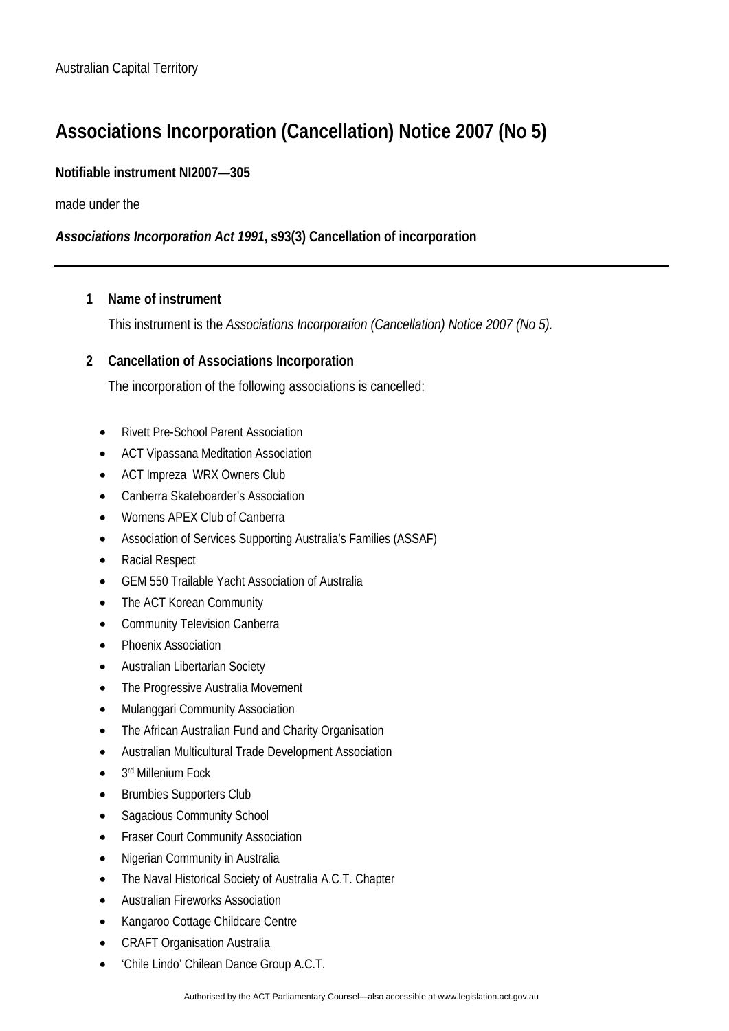# **Associations Incorporation (Cancellation) Notice 2007 (No 5)**

### **Notifiable instrument NI2007—305**

made under the

## *Associations Incorporation Act 1991***, s93(3) Cancellation of incorporation**

#### **1 Name of instrument**

This instrument is the *Associations Incorporation (Cancellation) Notice 2007 (No 5).* 

#### **2 Cancellation of Associations Incorporation**

The incorporation of the following associations is cancelled:

- Rivett Pre-School Parent Association
- ACT Vipassana Meditation Association
- ACT Impreza WRX Owners Club
- Canberra Skateboarder's Association
- Womens APEX Club of Canberra
- Association of Services Supporting Australia's Families (ASSAF)
- Racial Respect
- GEM 550 Trailable Yacht Association of Australia
- The ACT Korean Community
- Community Television Canberra
- Phoenix Association
- Australian Libertarian Society
- The Progressive Australia Movement
- Mulanggari Community Association
- The African Australian Fund and Charity Organisation
- Australian Multicultural Trade Development Association
- 3rd Millenium Fock
- Brumbies Supporters Club
- Sagacious Community School
- Fraser Court Community Association
- Nigerian Community in Australia
- The Naval Historical Society of Australia A.C.T. Chapter
- Australian Fireworks Association
- Kangaroo Cottage Childcare Centre
- CRAFT Organisation Australia
- 'Chile Lindo' Chilean Dance Group A.C.T.